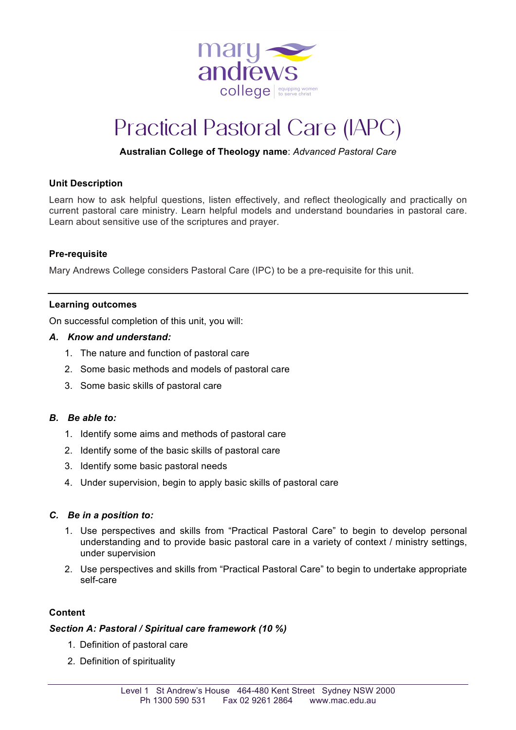

# Practical Pastoral Care (IAPC)

## **Australian College of Theology name**: *Advanced Pastoral Care*

## **Unit Description**

Learn how to ask helpful questions, listen effectively, and reflect theologically and practically on current pastoral care ministry. Learn helpful models and understand boundaries in pastoral care. Learn about sensitive use of the scriptures and prayer.

## **Pre-requisite**

Mary Andrews College considers Pastoral Care (IPC) to be a pre-requisite for this unit.

#### **Learning outcomes**

On successful completion of this unit, you will:

#### *A. Know and understand:*

- 1. The nature and function of pastoral care
- 2. Some basic methods and models of pastoral care
- 3. Some basic skills of pastoral care

## *B. Be able to:*

- 1. Identify some aims and methods of pastoral care
- 2. Identify some of the basic skills of pastoral care
- 3. Identify some basic pastoral needs
- 4. Under supervision, begin to apply basic skills of pastoral care

#### *C. Be in a position to:*

- 1. Use perspectives and skills from "Practical Pastoral Care" to begin to develop personal understanding and to provide basic pastoral care in a variety of context / ministry settings, under supervision
- 2. Use perspectives and skills from "Practical Pastoral Care" to begin to undertake appropriate self-care

## **Content**

# *Section A: Pastoral / Spiritual care framework (10 %)*

- 1. Definition of pastoral care
- 2. Definition of spirituality